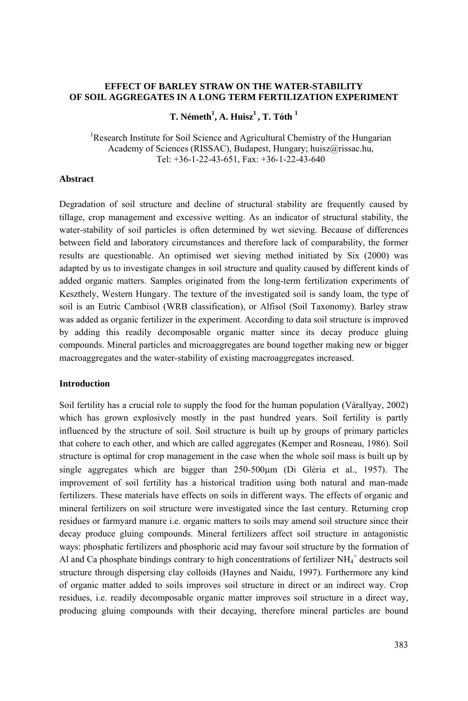# **EFFECT OF BARLEY STRAW ON THE WATER-STABILITY OF SOIL AGGREGATES IN A LONG TERM FERTILIZATION EXPERIMENT**

# **T. Németh<sup>1</sup>, A. Huisz<sup>1</sup>, T. Tóth<sup>1</sup>**

<sup>1</sup>Research Institute for Soil Science and Agricultural Chemistry of the Hungarian Academy of Sciences (RISSAC), Budapest, Hungary; huisz@rissac.hu, Tel: +36-1-22-43-651, Fax: +36-1-22-43-640

### **Abstract**

Degradation of soil structure and decline of structural stability are frequently caused by tillage, crop management and excessive wetting. As an indicator of structural stability, the water-stability of soil particles is often determined by wet sieving. Because of differences between field and laboratory circumstances and therefore lack of comparability, the former results are questionable. An optimised wet sieving method initiated by Six (2000) was adapted by us to investigate changes in soil structure and quality caused by different kinds of added organic matters. Samples originated from the long-term fertilization experiments of Keszthely, Western Hungary. The texture of the investigated soil is sandy loam, the type of soil is an Eutric Cambisol (WRB classification), or Alfisol (Soil Taxonomy). Barley straw was added as organic fertilizer in the experiment. According to data soil structure is improved by adding this readily decomposable organic matter since its decay produce gluing compounds. Mineral particles and microaggregates are bound together making new or bigger macroaggregates and the water-stability of existing macroaggregates increased.

## **Introduction**

Soil fertility has a crucial role to supply the food for the human population (Várallyay, 2002) which has grown explosively mostly in the past hundred years. Soil fertility is partly influenced by the structure of soil. Soil structure is built up by groups of primary particles that cohere to each other, and which are called aggregates (Kemper and Rosneau, 1986). Soil structure is optimal for crop management in the case when the whole soil mass is built up by single aggregates which are bigger than 250-500μm (Di Gléria et al., 1957). The improvement of soil fertility has a historical tradition using both natural and man-made fertilizers. These materials have effects on soils in different ways. The effects of organic and mineral fertilizers on soil structure were investigated since the last century. Returning crop residues or farmyard manure i.e. organic matters to soils may amend soil structure since their decay produce gluing compounds. Mineral fertilizers affect soil structure in antagonistic ways: phosphatic fertilizers and phosphoric acid may favour soil structure by the formation of Al and Ca phosphate bindings contrary to high concentrations of fertilizer  $NH_4^+$  destructs soil structure through dispersing clay colloids (Haynes and Naidu, 1997). Furthermore any kind of organic matter added to soils improves soil structure in direct or an indirect way. Crop residues, i.e. readily decomposable organic matter improves soil structure in a direct way, producing gluing compounds with their decaying, therefore mineral particles are bound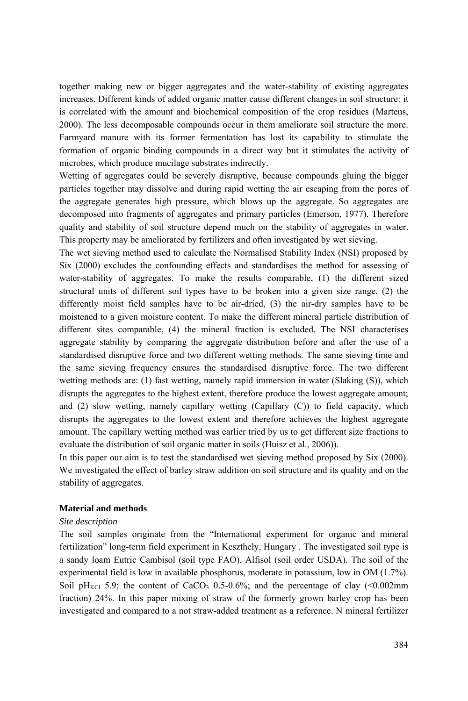together making new or bigger aggregates and the water-stability of existing aggregates increases. Different kinds of added organic matter cause different changes in soil structure: it is correlated with the amount and biochemical composition of the crop residues (Martens, 2000). The less decomposable compounds occur in them ameliorate soil structure the more. Farmyard manure with its former fermentation has lost its capability to stimulate the formation of organic binding compounds in a direct way but it stimulates the activity of microbes, which produce mucilage substrates indirectly.

Wetting of aggregates could be severely disruptive, because compounds gluing the bigger particles together may dissolve and during rapid wetting the air escaping from the pores of the aggregate generates high pressure, which blows up the aggregate. So aggregates are decomposed into fragments of aggregates and primary particles (Emerson, 1977). Therefore quality and stability of soil structure depend much on the stability of aggregates in water. This property may be ameliorated by fertilizers and often investigated by wet sieving.

The wet sieving method used to calculate the Normalised Stability Index (NSI) proposed by Six (2000) excludes the confounding effects and standardises the method for assessing of water-stability of aggregates. To make the results comparable, (1) the different sized structural units of different soil types have to be broken into a given size range, (2) the differently moist field samples have to be air-dried, (3) the air-dry samples have to be moistened to a given moisture content. To make the different mineral particle distribution of different sites comparable, (4) the mineral fraction is excluded. The NSI characterises aggregate stability by comparing the aggregate distribution before and after the use of a standardised disruptive force and two different wetting methods. The same sieving time and the same sieving frequency ensures the standardised disruptive force. The two different wetting methods are: (1) fast wetting, namely rapid immersion in water (Slaking (S)), which disrupts the aggregates to the highest extent, therefore produce the lowest aggregate amount; and (2) slow wetting, namely capillary wetting (Capillary (C)) to field capacity, which disrupts the aggregates to the lowest extent and therefore achieves the highest aggregate amount. The capillary wetting method was earlier tried by us to get different size fractions to evaluate the distribution of soil organic matter in soils (Huisz et al., 2006)).

In this paper our aim is to test the standardised wet sieving method proposed by Six (2000). We investigated the effect of barley straw addition on soil structure and its quality and on the stability of aggregates.

# **Material and methods**

### *Site description*

The soil samples originate from the "International experiment for organic and mineral fertilization" long-term field experiment in Keszthely, Hungary . The investigated soil type is a sandy loam Eutric Cambisol (soil type FAO), Alfisol (soil order USDA). The soil of the experimental field is low in available phosphorus, moderate in potassium, low in OM (1.7%). Soil pH<sub>KCl</sub> 5.9; the content of CaCO<sub>3</sub> 0.5-0.6%; and the percentage of clay (<0.002mm fraction) 24%. In this paper mixing of straw of the formerly grown barley crop has been investigated and compared to a not straw-added treatment as a reference. N mineral fertilizer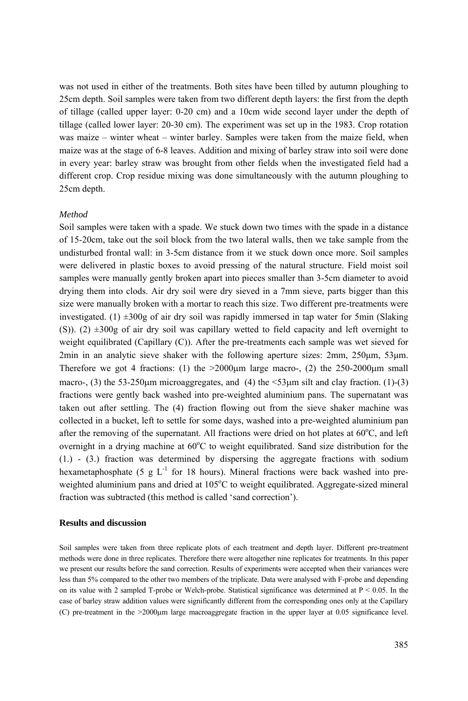was not used in either of the treatments. Both sites have been tilled by autumn ploughing to 25cm depth. Soil samples were taken from two different depth layers: the first from the depth of tillage (called upper layer: 0-20 cm) and a 10cm wide second layer under the depth of tillage (called lower layer: 20-30 cm). The experiment was set up in the 1983. Crop rotation was maize – winter wheat – winter barley. Samples were taken from the maize field, when maize was at the stage of 6-8 leaves. Addition and mixing of barley straw into soil were done in every year: barley straw was brought from other fields when the investigated field had a different crop. Crop residue mixing was done simultaneously with the autumn ploughing to 25cm depth.

#### *Method*

Soil samples were taken with a spade. We stuck down two times with the spade in a distance of 15-20cm, take out the soil block from the two lateral walls, then we take sample from the undisturbed frontal wall: in 3-5cm distance from it we stuck down once more. Soil samples were delivered in plastic boxes to avoid pressing of the natural structure. Field moist soil samples were manually gently broken apart into pieces smaller than 3-5cm diameter to avoid drying them into clods. Air dry soil were dry sieved in a 7mm sieve, parts bigger than this size were manually broken with a mortar to reach this size. Two different pre-treatments were investigated. (1)  $\pm 300g$  of air dry soil was rapidly immersed in tap water for 5min (Slaking (S)). (2)  $\pm 300g$  of air dry soil was capillary wetted to field capacity and left overnight to weight equilibrated (Capillary (C)). After the pre-treatments each sample was wet sieved for 2min in an analytic sieve shaker with the following aperture sizes: 2mm, 250μm, 53μm. Therefore we got 4 fractions: (1) the  $>2000\mu m$  large macro-, (2) the 250-2000 $\mu m$  small macro-, (3) the 53-250  $\mu$ m microaggregates, and (4) the  $\leq$ 53 $\mu$ m silt and clay fraction. (1)-(3) fractions were gently back washed into pre-weighted aluminium pans. The supernatant was taken out after settling. The (4) fraction flowing out from the sieve shaker machine was collected in a bucket, left to settle for some days, washed into a pre-weighted aluminium pan after the removing of the supernatant. All fractions were dried on hot plates at  $60^{\circ}$ C, and left overnight in a drying machine at  $60^{\circ}$ C to weight equilibrated. Sand size distribution for the  $(1.)$  -  $(3.)$  fraction was determined by dispersing the aggregate fractions with sodium hexametaphosphate (5 g  $L^{-1}$  for 18 hours). Mineral fractions were back washed into preweighted aluminium pans and dried at 105°C to weight equilibrated. Aggregate-sized mineral fraction was subtracted (this method is called 'sand correction').

#### **Results and discussion**

Soil samples were taken from three replicate plots of each treatment and depth layer. Different pre-treatment methods were done in three replicates. Therefore there were altogether nine replicates for treatments. In this paper we present our results before the sand correction. Results of experiments were accepted when their variances were less than 5% compared to the other two members of the triplicate. Data were analysed with F-probe and depending on its value with 2 sampled T-probe or Welch-probe. Statistical significance was determined at  $P < 0.05$ . In the case of barley straw addition values were significantly different from the corresponding ones only at the Capillary (C) pre-treatment in the >2000μm large macroaggregate fraction in the upper layer at 0.05 significance level.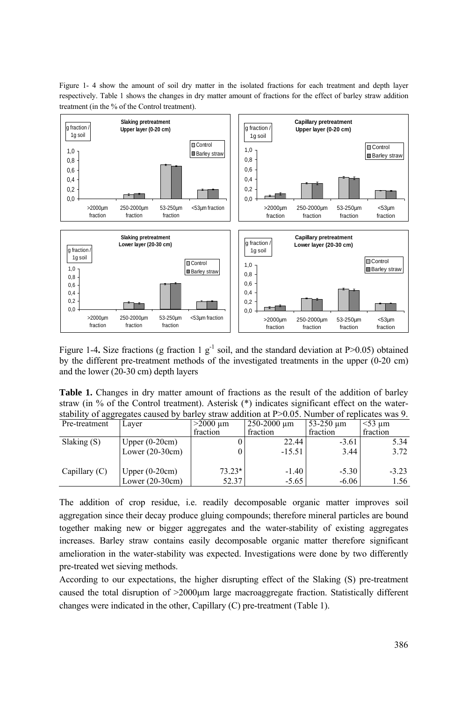Figure 1- 4 show the amount of soil dry matter in the isolated fractions for each treatment and depth layer respectively. Table 1 shows the changes in dry matter amount of fractions for the effect of barley straw addition treatment (in the % of the Control treatment).



Figure 1-4. Size fractions (g fraction 1  $g^{-1}$  soil, and the standard deviation at P $> 0.05$ ) obtained by the different pre-treatment methods of the investigated treatments in the upper (0-20 cm) and the lower (20-30 cm) depth layers

| <b>Table 1.</b> Changes in dry matter amount of fractions as the result of the addition of barley   |  |  |  |  |  |  |
|-----------------------------------------------------------------------------------------------------|--|--|--|--|--|--|
| straw (in $\%$ of the Control treatment). Asterisk $(*)$ indicates significant effect on the water- |  |  |  |  |  |  |
| stability of aggregates caused by barley straw addition at P>0.05. Number of replicates was 9.      |  |  |  |  |  |  |

| Pre-treatment   | Laver             | $>2000 \mu m$ | 250-2000 um | $53-250 \text{ µm}$ | $<$ 53 um |
|-----------------|-------------------|---------------|-------------|---------------------|-----------|
|                 |                   | fraction      | fraction    | fraction            | fraction  |
| Slaking $(S)$   | Upper $(0-20cm)$  |               | 22.44       | $-3.61$             | 5.34      |
|                 | Lower $(20-30cm)$ |               | $-15.51$    | 3.44                | 3.72      |
| Capillary $(C)$ | Upper $(0-20cm)$  | $73.23*$      | $-1.40$     | $-5.30$             | $-3.23$   |
|                 | Lower $(20-30cm)$ | 52.37         | $-5.65$     | $-6.06$             | 1.56      |

The addition of crop residue, i.e. readily decomposable organic matter improves soil aggregation since their decay produce gluing compounds; therefore mineral particles are bound together making new or bigger aggregates and the water-stability of existing aggregates increases. Barley straw contains easily decomposable organic matter therefore significant amelioration in the water-stability was expected. Investigations were done by two differently pre-treated wet sieving methods.

According to our expectations, the higher disrupting effect of the Slaking (S) pre-treatment caused the total disruption of >2000μm large macroaggregate fraction. Statistically different changes were indicated in the other, Capillary (C) pre-treatment (Table 1).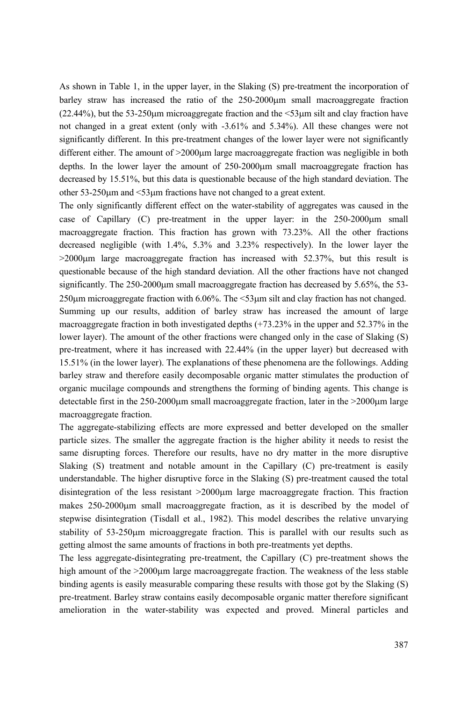As shown in Table 1, in the upper layer, in the Slaking (S) pre-treatment the incorporation of barley straw has increased the ratio of the 250-2000μm small macroaggregate fraction (22.44%), but the 53-250μm microaggregate fraction and the <53μm silt and clay fraction have not changed in a great extent (only with -3.61% and 5.34%). All these changes were not significantly different. In this pre-treatment changes of the lower layer were not significantly different either. The amount of >2000μm large macroaggregate fraction was negligible in both depths. In the lower layer the amount of 250-2000μm small macroaggregate fraction has decreased by 15.51%, but this data is questionable because of the high standard deviation. The other 53-250μm and <53μm fractions have not changed to a great extent.

The only significantly different effect on the water-stability of aggregates was caused in the case of Capillary (C) pre-treatment in the upper layer: in the 250-2000μm small macroaggregate fraction. This fraction has grown with 73.23%. All the other fractions decreased negligible (with 1.4%, 5.3% and 3.23% respectively). In the lower layer the  $>2000 \mu m$  large macroaggregate fraction has increased with 52.37%, but this result is questionable because of the high standard deviation. All the other fractions have not changed significantly. The 250-2000<sub>km</sub> small macroaggregate fraction has decreased by 5.65%, the 53-250μm microaggregate fraction with 6.06%. The <53μm silt and clay fraction has not changed. Summing up our results, addition of barley straw has increased the amount of large macroaggregate fraction in both investigated depths (+73.23% in the upper and 52.37% in the lower layer). The amount of the other fractions were changed only in the case of Slaking (S) pre-treatment, where it has increased with 22.44% (in the upper layer) but decreased with 15.51% (in the lower layer). The explanations of these phenomena are the followings. Adding barley straw and therefore easily decomposable organic matter stimulates the production of organic mucilage compounds and strengthens the forming of binding agents. This change is detectable first in the  $250-2000\mu$ m small macroaggregate fraction, later in the  $>2000\mu$ m large macroaggregate fraction.

The aggregate-stabilizing effects are more expressed and better developed on the smaller particle sizes. The smaller the aggregate fraction is the higher ability it needs to resist the same disrupting forces. Therefore our results, have no dry matter in the more disruptive Slaking (S) treatment and notable amount in the Capillary (C) pre-treatment is easily understandable. The higher disruptive force in the Slaking (S) pre-treatment caused the total disintegration of the less resistant >2000μm large macroaggregate fraction. This fraction makes 250-2000μm small macroaggregate fraction, as it is described by the model of stepwise disintegration (Tisdall et al., 1982). This model describes the relative unvarying stability of 53-250μm microaggregate fraction. This is parallel with our results such as getting almost the same amounts of fractions in both pre-treatments yet depths.

The less aggregate-disintegrating pre-treatment, the Capillary (C) pre-treatment shows the high amount of the >2000μm large macroaggregate fraction. The weakness of the less stable binding agents is easily measurable comparing these results with those got by the Slaking (S) pre-treatment. Barley straw contains easily decomposable organic matter therefore significant amelioration in the water-stability was expected and proved. Mineral particles and